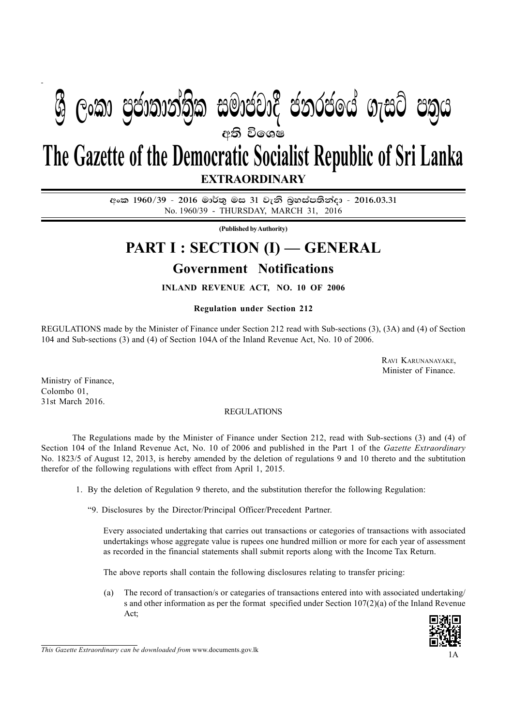# **eති විශෙෂ The Gazette of the Democratic Socialist Republic of Sri Lanka ් ලංකා පුජාතාන්තික සමාජවාදී ජනරජයේ ගැසට් පතුය**

**EXTRAORDINARY**

අංක 1960/39 - 2016 මාර්තු මස 31 වැනි බුහස්පතින්දා - 2016.03.31 No. 1960/39 - THURSDAY, MARCH 31, 2016

**(Published by Authority)**

## **PART I : SECTION (I) — GENERAL**

## **Government Notifications**

**INLAND REVENUE ACT, NO. 10 OF 2006**

**Regulation under Section 212**

REGULATIONS made by the Minister of Finance under Section 212 read with Sub-sections (3), (3A) and (4) of Section 104 and Sub-sections (3) and (4) of Section 104A of the Inland Revenue Act, No. 10 of 2006.

> RAVI KARUNANAYAKE, Minister of Finance.

Ministry of Finance, Colombo 01, 31st March 2016.

#### REGULATIONS

The Regulations made by the Minister of Finance under Section 212, read with Sub-sections (3) and (4) of Section 104 of the Inland Revenue Act, No. 10 of 2006 and published in the Part 1 of the *Gazette Extraordinary* No. 1823/5 of August 12, 2013, is hereby amended by the deletion of regulations 9 and 10 thereto and the subtitution therefor of the following regulations with effect from April 1, 2015.

1. By the deletion of Regulation 9 thereto, and the substitution therefor the following Regulation:

"9. Disclosures by the Director/Principal Officer/Precedent Partner.

Every associated undertaking that carries out transactions or categories of transactions with associated undertakings whose aggregate value is rupees one hundred million or more for each year of assessment as recorded in the financial statements shall submit reports along with the Income Tax Return.

The above reports shall contain the following disclosures relating to transfer pricing:

(a) The record of transaction/s or categaries of transactions entered into with associated undertaking/ s and other information as per the format specified under Section 107(2)(a) of the Inland Revenue Act;



*This Gazette Extraordinary can be downloaded from www.documents.gov.lk*